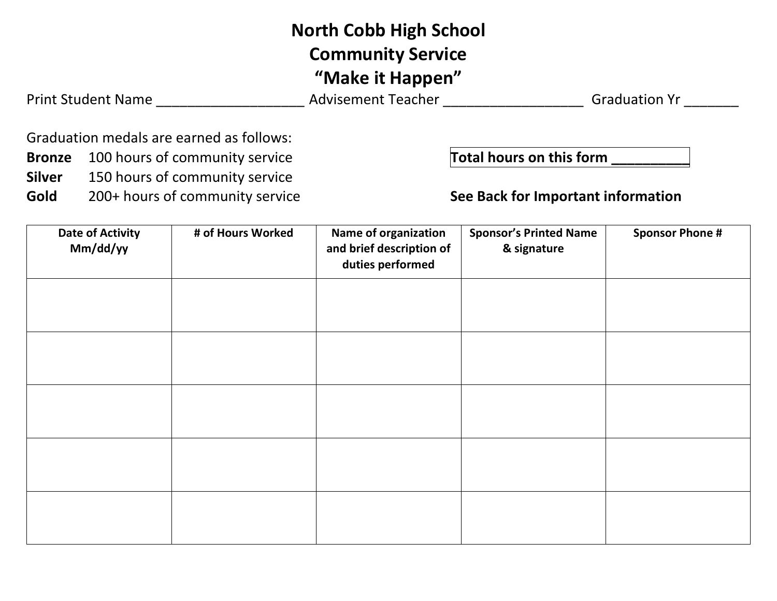## **North Cobb High School Community Service "Make it Happen"**

Print Student Name \_\_\_\_\_\_\_\_\_\_\_\_\_\_\_\_\_\_\_\_\_\_\_\_\_\_\_\_\_\_ Advisement Teacher \_\_\_\_\_\_\_\_\_\_\_\_\_\_\_\_\_\_\_\_\_\_\_\_\_\_\_\_\_\_ Graduation Yr \_\_\_\_\_\_\_\_\_

Graduation medals are earned as follows:

- **Bronze** 100 hours of community service **Total hours on this form** \_\_\_\_\_\_\_
- **Silver** 150 hours of community service
- Gold 200+ hours of community service **See Back for Important information**

| <b>Date of Activity</b><br>Mm/dd/yy | # of Hours Worked | Name of organization<br>and brief description of<br>duties performed | <b>Sponsor's Printed Name</b><br>& signature | <b>Sponsor Phone #</b> |
|-------------------------------------|-------------------|----------------------------------------------------------------------|----------------------------------------------|------------------------|
|                                     |                   |                                                                      |                                              |                        |
|                                     |                   |                                                                      |                                              |                        |
|                                     |                   |                                                                      |                                              |                        |
|                                     |                   |                                                                      |                                              |                        |
|                                     |                   |                                                                      |                                              |                        |